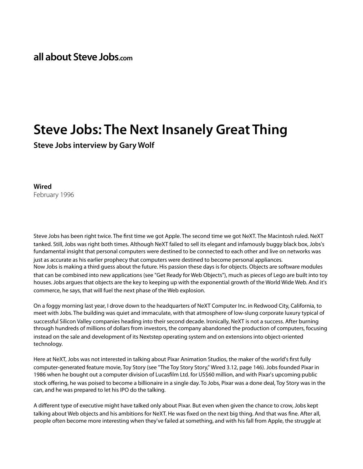# **Steve Jobs: The Next Insanely Great Thing**

**Steve Jobs interview by Gary Wolf**

**Wired** February 1996

Steve Jobs has been right twice. The first time we got Apple. The second time we got NeXT. The Macintosh ruled. NeXT tanked. Still, Jobs was right both times. Although NeXT failed to sell its elegant and infamously buggy black box, Jobs's fundamental insight that personal computers were destined to be connected to each other and live on networks was just as accurate as his earlier prophecy that computers were destined to become personal appliances. Now Jobs is making a third guess about the future. His passion these days is for objects. Objects are software modules that can be combined into new applications (see "Get Ready for Web Objects"), much as pieces of Lego are built into toy houses. Jobs argues that objects are the key to keeping up with the exponential growth of the World Wide Web. And it's commerce, he says, that will fuel the next phase of the Web explosion.

On a foggy morning last year, I drove down to the headquarters of NeXT Computer Inc. in Redwood City, California, to meet with Jobs. The building was quiet and immaculate, with that atmosphere of low-slung corporate luxury typical of successful Silicon Valley companies heading into their second decade. Ironically, NeXT is not a success. After burning through hundreds of millions of dollars from investors, the company abandoned the production of computers, focusing instead on the sale and development of its Nextstep operating system and on extensions into object-oriented technology.

Here at NeXT, Jobs was not interested in talking about Pixar Animation Studios, the maker of the world's first fully computer-generated feature movie, Toy Story (see "The Toy Story Story," Wired 3.12, page 146). Jobs founded Pixar in 1986 when he bought out a computer division of Lucasfilm Ltd. for US\$60 million, and with Pixar's upcoming public stock offering, he was poised to become a billionaire in a single day. To Jobs, Pixar was a done deal, Toy Story was in the can, and he was prepared to let his IPO do the talking.

A different type of executive might have talked only about Pixar. But even when given the chance to crow, Jobs kept talking about Web objects and his ambitions for NeXT. He was fixed on the next big thing. And that was fine. After all, people often become more interesting when they've failed at something, and with his fall from Apple, the struggle at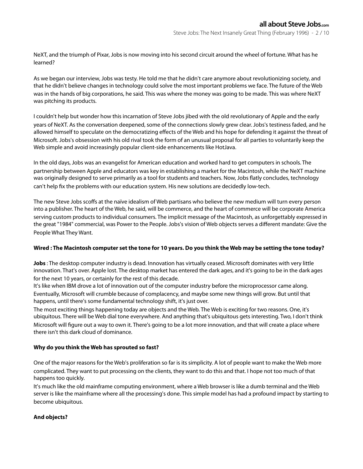NeXT, and the triumph of Pixar, Jobs is now moving into his second circuit around the wheel of fortune. What has he learned?

As we began our interview, Jobs was testy. He told me that he didn't care anymore about revolutionizing society, and that he didn't believe changes in technology could solve the most important problems we face. The future of the Web was in the hands of big corporations, he said. This was where the money was going to be made. This was where NeXT was pitching its products.

I couldn't help but wonder how this incarnation of Steve Jobs jibed with the old revolutionary of Apple and the early years of NeXT. As the conversation deepened, some of the connections slowly grew clear. Jobs's testiness faded, and he allowed himself to speculate on the democratizing effects of the Web and his hope for defending it against the threat of Microsoft. Jobs's obsession with his old rival took the form of an unusual proposal for all parties to voluntarily keep the Web simple and avoid increasingly popular client-side enhancements like HotJava.

In the old days, Jobs was an evangelist for American education and worked hard to get computers in schools. The partnership between Apple and educators was key in establishing a market for the Macintosh, while the NeXT machine was originally designed to serve primarily as a tool for students and teachers. Now, Jobs flatly concludes, technology can't help fix the problems with our education system. His new solutions are decidedly low-tech.

The new Steve Jobs scoffs at the naïve idealism of Web partisans who believe the new medium will turn every person into a publisher. The heart of the Web, he said, will be commerce, and the heart of commerce will be corporate America serving custom products to individual consumers. The implicit message of the Macintosh, as unforgettably expressed in the great "1984" commercial, was Power to the People. Jobs's vision of Web objects serves a different mandate: Give the People What They Want.

## **Wired : The Macintosh computer set the tone for 10 years. Do you think the Web may be setting the tone today?**

**Jobs** : The desktop computer industry is dead. Innovation has virtually ceased. Microsoft dominates with very little innovation. That's over. Apple lost. The desktop market has entered the dark ages, and it's going to be in the dark ages for the next 10 years, or certainly for the rest of this decade.

It's like when IBM drove a lot of innovation out of the computer industry before the microprocessor came along. Eventually, Microsoft will crumble because of complacency, and maybe some new things will grow. But until that happens, until there's some fundamental technology shift, it's just over.

The most exciting things happening today are objects and the Web. The Web is exciting for two reasons. One, it's ubiquitous. There will be Web dial tone everywhere. And anything that's ubiquitous gets interesting. Two, I don't think Microsoft will figure out a way to own it. There's going to be a lot more innovation, and that will create a place where there isn't this dark cloud of dominance.

## **Why do you think the Web has sprouted so fast?**

One of the major reasons for the Web's proliferation so far is its simplicity. A lot of people want to make the Web more complicated. They want to put processing on the clients, they want to do this and that. I hope not too much of that happens too quickly.

It's much like the old mainframe computing environment, where a Web browser is like a dumb terminal and the Web server is like the mainframe where all the processing's done. This simple model has had a profound impact by starting to become ubiquitous.

## **And objects?**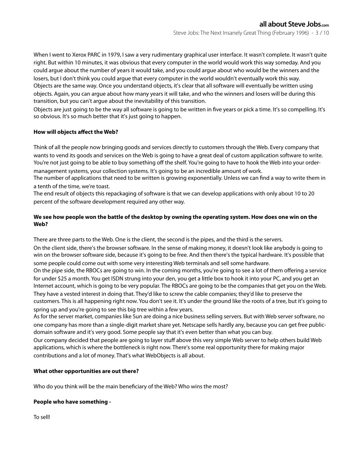When I went to Xerox PARC in 1979, I saw a very rudimentary graphical user interface. It wasn't complete. It wasn't quite right. But within 10 minutes, it was obvious that every computer in the world would work this way someday. And you could argue about the number of years it would take, and you could argue about who would be the winners and the losers, but I don't think you could argue that every computer in the world wouldn't eventually work this way. Objects are the same way. Once you understand objects, it's clear that all software will eventually be written using

objects. Again, you can argue about how many years it will take, and who the winners and losers will be during this transition, but you can't argue about the inevitability of this transition.

Objects are just going to be the way all software is going to be written in five years or pick a time. It's so compelling. It's so obvious. It's so much better that it's just going to happen.

#### **How will objects affect the Web?**

Think of all the people now bringing goods and services directly to customers through the Web. Every company that wants to vend its goods and services on the Web is going to have a great deal of custom application software to write. You're not just going to be able to buy something off the shelf. You're going to have to hook the Web into your ordermanagement systems, your collection systems. It's going to be an incredible amount of work.

The number of applications that need to be written is growing exponentially. Unless we can find a way to write them in a tenth of the time, we're toast.

The end result of objects this repackaging of software is that we can develop applications with only about 10 to 20 percent of the software development required any other way.

#### **We see how people won the battle of the desktop by owning the operating system. How does one win on the Web?**

There are three parts to the Web. One is the client, the second is the pipes, and the third is the servers.

On the client side, there's the browser software. In the sense of making money, it doesn't look like anybody is going to win on the browser software side, because it's going to be free. And then there's the typical hardware. It's possible that some people could come out with some very interesting Web terminals and sell some hardware.

On the pipe side, the RBOCs are going to win. In the coming months, you're going to see a lot of them offering a service for under \$25 a month. You get ISDN strung into your den, you get a little box to hook it into your PC, and you get an Internet account, which is going to be very popular. The RBOCs are going to be the companies that get you on the Web. They have a vested interest in doing that. They'd like to screw the cable companies; they'd like to preserve the customers. This is all happening right now. You don't see it. It's under the ground like the roots of a tree, but it's going to

spring up and you're going to see this big tree within a few years. As for the server market, companies like Sun are doing a nice business selling servers. But with Web server software, no one company has more than a single-digit market share yet. Netscape sells hardly any, because you can get free publicdomain software and it's very good. Some people say that it's even better than what you can buy.

Our company decided that people are going to layer stuff above this very simple Web server to help others build Web applications, which is where the bottleneck is right now. There's some real opportunity there for making major contributions and a lot of money. That's what WebObjects is all about.

#### **What other opportunities are out there?**

Who do you think will be the main beneficiary of the Web? Who wins the most?

#### **People who have something -**

To sell!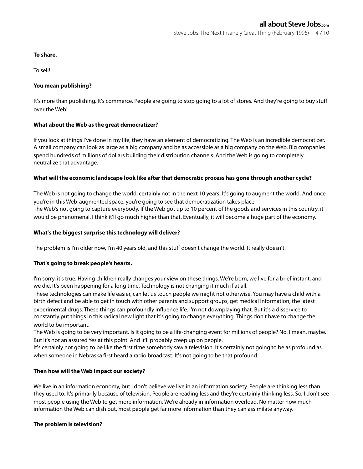## **To share.**

To sell!

## **You mean publishing?**

It's more than publishing. It's commerce. People are going to stop going to a lot of stores. And they're going to buy stuff over the Web!

## **What about the Web as the great democratizer?**

If you look at things I've done in my life, they have an element of democratizing. The Web is an incredible democratizer. A small company can look as large as a big company and be as accessible as a big company on the Web. Big companies spend hundreds of millions of dollars building their distribution channels. And the Web is going to completely neutralize that advantage.

#### **What will the economic landscape look like after that democratic process has gone through another cycle?**

The Web is not going to change the world, certainly not in the next 10 years. It's going to augment the world. And once you're in this Web-augmented space, you're going to see that democratization takes place. The Web's not going to capture everybody. If the Web got up to 10 percent of the goods and services in this country, it would be phenomenal. I think it'll go much higher than that. Eventually, it will become a huge part of the economy.

#### **What's the biggest surprise this technology will deliver?**

The problem is I'm older now, I'm 40 years old, and this stuff doesn't change the world. It really doesn't.

## **That's going to break people's hearts.**

I'm sorry, it's true. Having children really changes your view on these things. We're born, we live for a brief instant, and we die. It's been happening for a long time. Technology is not changing it much if at all.

These technologies can make life easier, can let us touch people we might not otherwise. You may have a child with a birth defect and be able to get in touch with other parents and support groups, get medical information, the latest experimental drugs. These things can profoundly influence life. I'm not downplaying that. But it's a disservice to constantly put things in this radical new light that it's going to change everything. Things don't have to change the world to be important.

The Web is going to be very important. Is it going to be a life-changing event for millions of people? No. I mean, maybe. But it's not an assured Yes at this point. And it'll probably creep up on people.

It's certainly not going to be like the first time somebody saw a television. It's certainly not going to be as profound as when someone in Nebraska first heard a radio broadcast. It's not going to be that profound.

#### **Then how will the Web impact our society?**

We live in an information economy, but I don't believe we live in an information society. People are thinking less than they used to. It's primarily because of television. People are reading less and they're certainly thinking less. So, I don't see most people using the Web to get more information. We're already in information overload. No matter how much information the Web can dish out, most people get far more information than they can assimilate anyway.

#### **The problem is television?**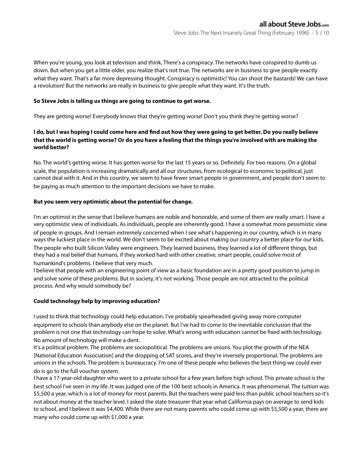When you're young, you look at television and think, There's a conspiracy. The networks have conspired to dumb us down. But when you get a little older, you realize that's not true. The networks are in business to give people exactly what they want. That's a far more depressing thought. Conspiracy is optimistic! You can shoot the bastards! We can have a revolution! But the networks are really in business to give people what they want. It's the truth.

#### **So Steve Jobs is telling us things are going to continue to get worse.**

They are getting worse! Everybody knows that they're getting worse! Don't you think they're getting worse?

# **I do, but I was hoping I could come here and find out how they were going to get better. Do you really believe that the world is getting worse? Or do you have a feeling that the things you're involved with are making the world better?**

No. The world's getting worse. It has gotten worse for the last 15 years or so. Definitely. For two reasons. On a global scale, the population is increasing dramatically and all our structures, from ecological to economic to political, just cannot deal with it. And in this country, we seem to have fewer smart people in government, and people don't seem to be paying as much attention to the important decisions we have to make.

## **But you seem very optimistic about the potential for change.**

I'm an optimist in the sense that I believe humans are noble and honorable, and some of them are really smart. I have a very optimistic view of individuals. As individuals, people are inherently good. I have a somewhat more pessimistic view of people in groups. And I remain extremely concerned when I see what's happening in our country, which is in many ways the luckiest place in the world. We don't seem to be excited about making our country a better place for our kids. The people who built Silicon Valley were engineers. They learned business, they learned a lot of different things, but they had a real belief that humans, if they worked hard with other creative, smart people, could solve most of humankind's problems. I believe that very much.

I believe that people with an engineering point of view as a basic foundation are in a pretty good position to jump in and solve some of these problems. But in society, it's not working. Those people are not attracted to the political process. And why would somebody be?

## **Could technology help by improving education?**

I used to think that technology could help education. I've probably spearheaded giving away more computer equipment to schools than anybody else on the planet. But I've had to come to the inevitable conclusion that the problem is not one that technology can hope to solve. What's wrong with education cannot be fixed with technology. No amount of technology will make a dent.

It's a political problem. The problems are sociopolitical. The problems are unions. You plot the growth of the NEA [National Education Association] and the dropping of SAT scores, and they're inversely proportional. The problems are unions in the schools. The problem is bureaucracy. I'm one of these people who believes the best thing we could ever do is go to the full voucher system.

I have a 17-year-old daughter who went to a private school for a few years before high school. This private school is the best school I've seen in my life. It was judged one of the 100 best schools in America. It was phenomenal. The tuition was \$5,500 a year, which is a lot of money for most parents. But the teachers were paid less than public school teachers so it's not about money at the teacher level. I asked the state treasurer that year what California pays on average to send kids to school, and I believe it was \$4,400. While there are not many parents who could come up with \$5,500 a year, there are many who could come up with \$1,000 a year.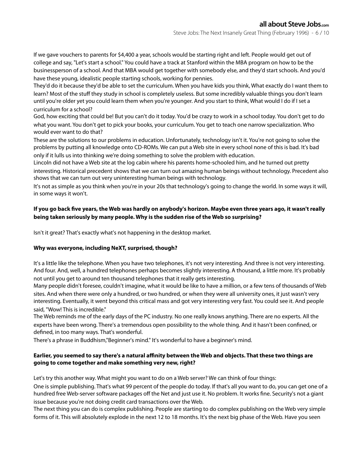If we gave vouchers to parents for \$4,400 a year, schools would be starting right and left. People would get out of college and say, "Let's start a school." You could have a track at Stanford within the MBA program on how to be the businessperson of a school. And that MBA would get together with somebody else, and they'd start schools. And you'd have these young, idealistic people starting schools, working for pennies.

They'd do it because they'd be able to set the curriculum. When you have kids you think, What exactly do I want them to learn? Most of the stuff they study in school is completely useless. But some incredibly valuable things you don't learn until you're older yet you could learn them when you're younger. And you start to think, What would I do if I set a curriculum for a school?

God, how exciting that could be! But you can't do it today. You'd be crazy to work in a school today. You don't get to do what you want. You don't get to pick your books, your curriculum. You get to teach one narrow specialization. Who would ever want to do that?

These are the solutions to our problems in education. Unfortunately, technology isn't it. You're not going to solve the problems by putting all knowledge onto CD-ROMs. We can put a Web site in every school none of this is bad. It's bad only if it lulls us into thinking we're doing something to solve the problem with education.

Lincoln did not have a Web site at the log cabin where his parents home-schooled him, and he turned out pretty interesting. Historical precedent shows that we can turn out amazing human beings without technology. Precedent also shows that we can turn out very uninteresting human beings with technology.

It's not as simple as you think when you're in your 20s that technology's going to change the world. In some ways it will, in some ways it won't.

# **If you go back five years, the Web was hardly on anybody's horizon. Maybe even three years ago, it wasn't really being taken seriously by many people. Why is the sudden rise of the Web so surprising?**

Isn't it great? That's exactly what's not happening in the desktop market.

## **Why was everyone, including NeXT, surprised, though?**

It's a little like the telephone. When you have two telephones, it's not very interesting. And three is not very interesting. And four. And, well, a hundred telephones perhaps becomes slightly interesting. A thousand, a little more. It's probably not until you get to around ten thousand telephones that it really gets interesting.

Many people didn't foresee, couldn't imagine, what it would be like to have a million, or a few tens of thousands of Web sites. And when there were only a hundred, or two hundred, or when they were all university ones, it just wasn't very interesting. Eventually, it went beyond this critical mass and got very interesting very fast. You could see it. And people said, "Wow! This is incredible."

The Web reminds me of the early days of the PC industry. No one really knows anything. There are no experts. All the experts have been wrong. There's a tremendous open possibility to the whole thing. And it hasn't been confined, or defined, in too many ways. That's wonderful.

There's a phrase in Buddhism,"Beginner's mind." It's wonderful to have a beginner's mind.

## **Earlier, you seemed to say there's a natural affinity between the Web and objects. That these two things are going to come together and make something very new, right?**

Let's try this another way. What might you want to do on a Web server? We can think of four things:

One is simple publishing. That's what 99 percent of the people do today. If that's all you want to do, you can get one of a hundred free Web-server software packages off the Net and just use it. No problem. It works fine. Security's not a giant issue because you're not doing credit card transactions over the Web.

The next thing you can do is complex publishing. People are starting to do complex publishing on the Web very simple forms of it. This will absolutely explode in the next 12 to 18 months. It's the next big phase of the Web. Have you seen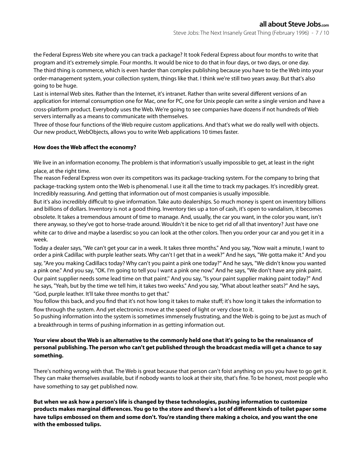the Federal Express Web site where you can track a package? It took Federal Express about four months to write that program and it's extremely simple. Four months. It would be nice to do that in four days, or two days, or one day. The third thing is commerce, which is even harder than complex publishing because you have to tie the Web into your order-management system, your collection system, things like that. I think we're still two years away. But that's also going to be huge.

Last is internal Web sites. Rather than the Internet, it's intranet. Rather than write several different versions of an application for internal consumption one for Mac, one for PC, one for Unix people can write a single version and have a cross-platform product. Everybody uses the Web. We're going to see companies have dozens if not hundreds of Web servers internally as a means to communicate with themselves.

Three of those four functions of the Web require custom applications. And that's what we do really well with objects. Our new product, WebObjects, allows you to write Web applications 10 times faster.

#### **How does the Web affect the economy?**

We live in an information economy. The problem is that information's usually impossible to get, at least in the right place, at the right time.

The reason Federal Express won over its competitors was its package-tracking system. For the company to bring that package-tracking system onto the Web is phenomenal. I use it all the time to track my packages. It's incredibly great. Incredibly reassuring. And getting that information out of most companies is usually impossible.

But it's also incredibly difficult to give information. Take auto dealerships. So much money is spent on inventory billions and billions of dollars. Inventory is not a good thing. Inventory ties up a ton of cash, it's open to vandalism, it becomes obsolete. It takes a tremendous amount of time to manage. And, usually, the car you want, in the color you want, isn't there anyway, so they've got to horse-trade around. Wouldn't it be nice to get rid of all that inventory? Just have one white car to drive and maybe a laserdisc so you can look at the other colors. Then you order your car and you get it in a week.

Today a dealer says, "We can't get your car in a week. It takes three months." And you say, "Now wait a minute, I want to order a pink Cadillac with purple leather seats. Why can't I get that in a week?" And he says, "We gotta make it." And you say, "Are you making Cadillacs today? Why can't you paint a pink one today?" And he says, "We didn't know you wanted a pink one." And you say, "OK. I'm going to tell you I want a pink one now." And he says, "We don't have any pink paint. Our paint supplier needs some lead time on that paint.'' And you say, "Is your paint supplier making paint today?" And he says, "Yeah, but by the time we tell him, it takes two weeks." And you say, "What about leather seats?" And he says, "God, purple leather. It'll take three months to get that."

You follow this back, and you find that it's not how long it takes to make stuff; it's how long it takes the information to flow through the system. And yet electronics move at the speed of light or very close to it.

So pushing information into the system is sometimes immensely frustrating, and the Web is going to be just as much of a breakthrough in terms of pushing information in as getting information out.

## **Your view about the Web is an alternative to the commonly held one that it's going to be the renaissance of personal publishing. The person who can't get published through the broadcast media will get a chance to say something.**

There's nothing wrong with that. The Web is great because that person can't foist anything on you you have to go get it. They can make themselves available, but if nobody wants to look at their site, that's fine. To be honest, most people who have something to say get published now.

**But when we ask how a person's life is changed by these technologies, pushing information to customize products makes marginal differences. You go to the store and there's a lot of different kinds of toilet paper some have tulips embossed on them and some don't. You're standing there making a choice, and you want the one with the embossed tulips.**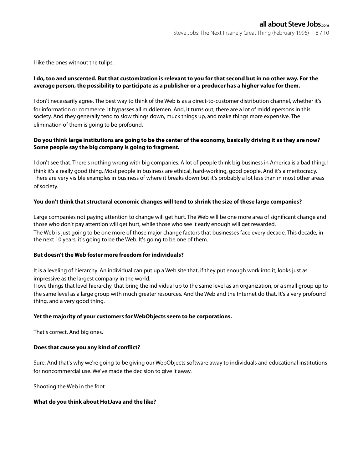I like the ones without the tulips.

#### **I do, too and unscented. But that customization is relevant to you for that second but in no other way. For the average person, the possibility to participate as a publisher or a producer has a higher value for them.**

I don't necessarily agree. The best way to think of the Web is as a direct-to-customer distribution channel, whether it's for information or commerce. It bypasses all middlemen. And, it turns out, there are a lot of middlepersons in this society. And they generally tend to slow things down, muck things up, and make things more expensive. The elimination of them is going to be profound.

## **Do you think large institutions are going to be the center of the economy, basically driving it as they are now? Some people say the big company is going to fragment.**

I don't see that. There's nothing wrong with big companies. A lot of people think big business in America is a bad thing. I think it's a really good thing. Most people in business are ethical, hard-working, good people. And it's a meritocracy. There are very visible examples in business of where it breaks down but it's probably a lot less than in most other areas of society.

## **You don't think that structural economic changes will tend to shrink the size of these large companies?**

Large companies not paying attention to change will get hurt. The Web will be one more area of significant change and those who don't pay attention will get hurt, while those who see it early enough will get rewarded. The Web is just going to be one more of those major change factors that businesses face every decade. This decade, in the next 10 years, it's going to be the Web. It's going to be one of them.

#### **But doesn't the Web foster more freedom for individuals?**

It is a leveling of hierarchy. An individual can put up a Web site that, if they put enough work into it, looks just as impressive as the largest company in the world.

I love things that level hierarchy, that bring the individual up to the same level as an organization, or a small group up to the same level as a large group with much greater resources. And the Web and the Internet do that. It's a very profound thing, and a very good thing.

#### **Yet the majority of your customers for WebObjects seem to be corporations.**

That's correct. And big ones.

#### **Does that cause you any kind of conflict?**

Sure. And that's why we're going to be giving our WebObjects software away to individuals and educational institutions for noncommercial use. We've made the decision to give it away.

Shooting the Web in the foot

#### **What do you think about HotJava and the like?**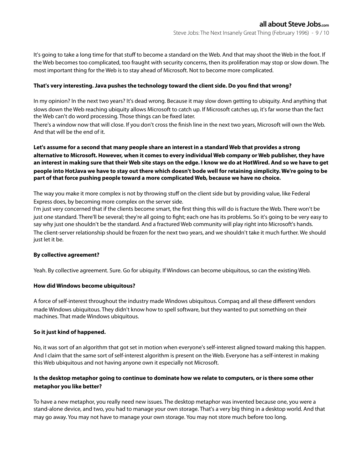It's going to take a long time for that stuff to become a standard on the Web. And that may shoot the Web in the foot. If the Web becomes too complicated, too fraught with security concerns, then its proliferation may stop or slow down. The most important thing for the Web is to stay ahead of Microsoft. Not to become more complicated.

## **That's very interesting. Java pushes the technology toward the client side. Do you find that wrong?**

In my opinion? In the next two years? It's dead wrong. Because it may slow down getting to ubiquity. And anything that slows down the Web reaching ubiquity allows Microsoft to catch up. If Microsoft catches up, it's far worse than the fact the Web can't do word processing. Those things can be fixed later.

There's a window now that will close. If you don't cross the finish line in the next two years, Microsoft will own the Web. And that will be the end of it.

## **Let's assume for a second that many people share an interest in a standard Web that provides a strong alternative to Microsoft. However, when it comes to every individual Web company or Web publisher, they have an interest in making sure that their Web site stays on the edge. I know we do at HotWired. And so we have to get people into HotJava we have to stay out there which doesn't bode well for retaining simplicity. We're going to be part of that force pushing people toward a more complicated Web, because we have no choice.**

The way you make it more complex is not by throwing stuff on the client side but by providing value, like Federal Express does, by becoming more complex on the server side.

I'm just very concerned that if the clients become smart, the first thing this will do is fracture the Web. There won't be just one standard. There'll be several; they're all going to fight; each one has its problems. So it's going to be very easy to say why just one shouldn't be the standard. And a fractured Web community will play right into Microsoft's hands. The client-server relationship should be frozen for the next two years, and we shouldn't take it much further. We should just let it be.

## **By collective agreement?**

Yeah. By collective agreement. Sure. Go for ubiquity. If Windows can become ubiquitous, so can the existing Web.

#### **How did Windows become ubiquitous?**

A force of self-interest throughout the industry made Windows ubiquitous. Compaq and all these different vendors made Windows ubiquitous. They didn't know how to spell software, but they wanted to put something on their machines. That made Windows ubiquitous.

## **So it just kind of happened.**

No, it was sort of an algorithm that got set in motion when everyone's self-interest aligned toward making this happen. And I claim that the same sort of self-interest algorithm is present on the Web. Everyone has a self-interest in making this Web ubiquitous and not having anyone own it especially not Microsoft.

## **Is the desktop metaphor going to continue to dominate how we relate to computers, or is there some other metaphor you like better?**

To have a new metaphor, you really need new issues. The desktop metaphor was invented because one, you were a stand-alone device, and two, you had to manage your own storage. That's a very big thing in a desktop world. And that may go away. You may not have to manage your own storage. You may not store much before too long.